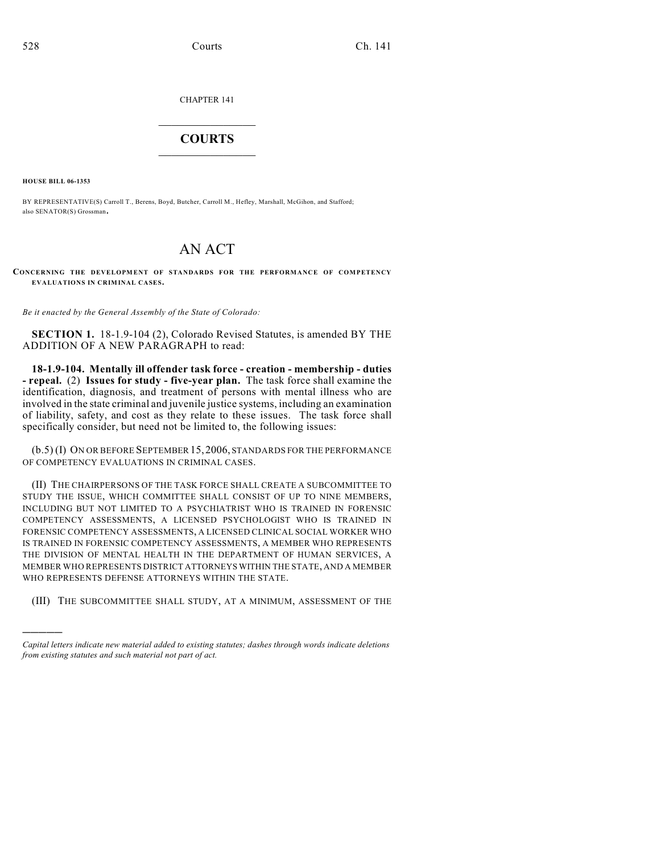CHAPTER 141

## $\mathcal{L}_\text{max}$  . The set of the set of the set of the set of the set of the set of the set of the set of the set of the set of the set of the set of the set of the set of the set of the set of the set of the set of the set **COURTS**  $\_$   $\_$   $\_$   $\_$   $\_$   $\_$   $\_$   $\_$

**HOUSE BILL 06-1353**

)))))

BY REPRESENTATIVE(S) Carroll T., Berens, Boyd, Butcher, Carroll M., Hefley, Marshall, McGihon, and Stafford; also SENATOR(S) Grossman.

## AN ACT

**CONCERNING THE DEVELOPMENT OF STANDARDS FOR THE PERFORMANCE OF COMPETENCY EVALUATIONS IN CRIMINAL CASES.**

*Be it enacted by the General Assembly of the State of Colorado:*

**SECTION 1.** 18-1.9-104 (2), Colorado Revised Statutes, is amended BY THE ADDITION OF A NEW PARAGRAPH to read:

**18-1.9-104. Mentally ill offender task force - creation - membership - duties - repeal.** (2) **Issues for study - five-year plan.** The task force shall examine the identification, diagnosis, and treatment of persons with mental illness who are involved in the state criminal and juvenile justice systems, including an examination of liability, safety, and cost as they relate to these issues. The task force shall specifically consider, but need not be limited to, the following issues:

(b.5) (I) ON OR BEFORE SEPTEMBER15,2006, STANDARDS FOR THE PERFORMANCE OF COMPETENCY EVALUATIONS IN CRIMINAL CASES.

(II) THE CHAIRPERSONS OF THE TASK FORCE SHALL CREATE A SUBCOMMITTEE TO STUDY THE ISSUE, WHICH COMMITTEE SHALL CONSIST OF UP TO NINE MEMBERS, INCLUDING BUT NOT LIMITED TO A PSYCHIATRIST WHO IS TRAINED IN FORENSIC COMPETENCY ASSESSMENTS, A LICENSED PSYCHOLOGIST WHO IS TRAINED IN FORENSIC COMPETENCY ASSESSMENTS, A LICENSED CLINICAL SOCIAL WORKER WHO IS TRAINED IN FORENSIC COMPETENCY ASSESSMENTS, A MEMBER WHO REPRESENTS THE DIVISION OF MENTAL HEALTH IN THE DEPARTMENT OF HUMAN SERVICES, A MEMBER WHO REPRESENTS DISTRICT ATTORNEYS WITHIN THE STATE, AND A MEMBER WHO REPRESENTS DEFENSE ATTORNEYS WITHIN THE STATE.

(III) THE SUBCOMMITTEE SHALL STUDY, AT A MINIMUM, ASSESSMENT OF THE

*Capital letters indicate new material added to existing statutes; dashes through words indicate deletions from existing statutes and such material not part of act.*